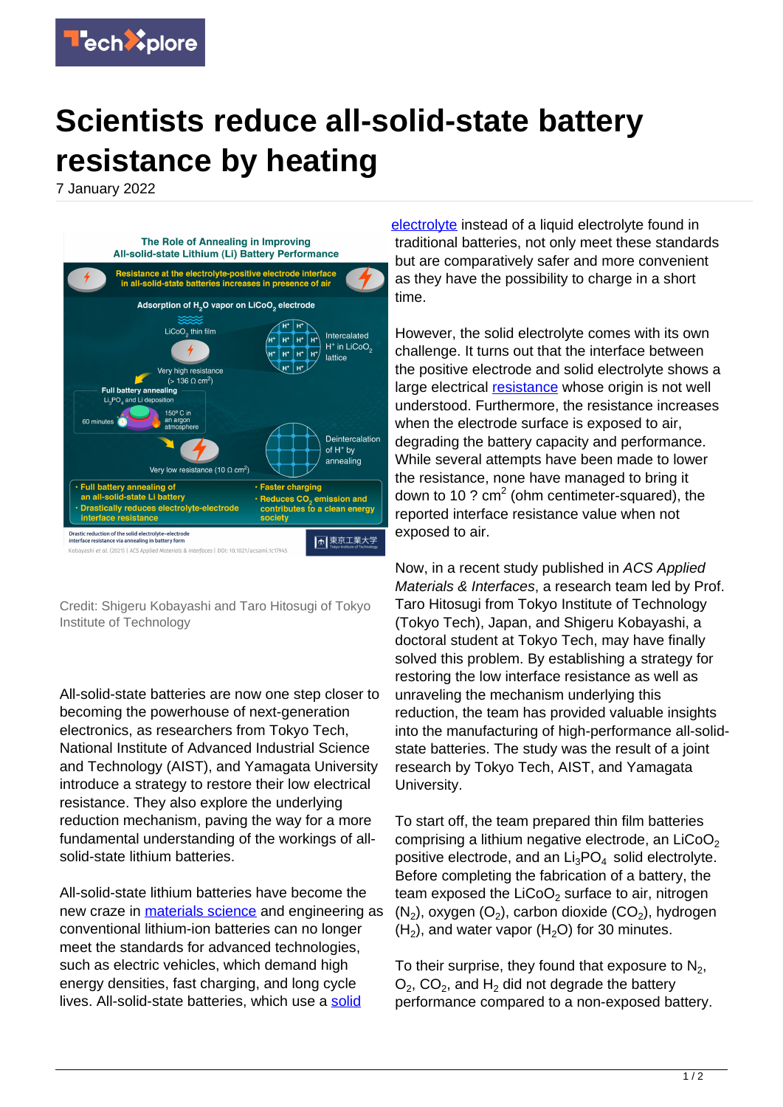

## **Scientists reduce all-solid-state battery resistance by heating**

7 January 2022



Credit: Shigeru Kobayashi and Taro Hitosugi of Tokyo Institute of Technology

All-solid-state batteries are now one step closer to becoming the powerhouse of next-generation electronics, as researchers from Tokyo Tech, National Institute of Advanced Industrial Science and Technology (AIST), and Yamagata University introduce a strategy to restore their low electrical resistance. They also explore the underlying reduction mechanism, paving the way for a more fundamental understanding of the workings of allsolid-state lithium batteries.

All-solid-state lithium batteries have become the new craze in [materials science](https://techxplore.com/tags/materials+science/) and engineering as conventional lithium-ion batteries can no longer meet the standards for advanced technologies, such as electric vehicles, which demand high energy densities, fast charging, and long cycle lives. All-[solid](https://techxplore.com/tags/solid+electrolyte/)-state batteries, which use a solid

[electrolyte](https://techxplore.com/tags/solid+electrolyte/) instead of a liquid electrolyte found in traditional batteries, not only meet these standards but are comparatively safer and more convenient as they have the possibility to charge in a short time.

However, the solid electrolyte comes with its own challenge. It turns out that the interface between the positive electrode and solid electrolyte shows a large electrical [resistance](https://techxplore.com/tags/resistance/) whose origin is not well understood. Furthermore, the resistance increases when the electrode surface is exposed to air, degrading the battery capacity and performance. While several attempts have been made to lower the resistance, none have managed to bring it down to 10 ?  $cm<sup>2</sup>$  (ohm centimeter-squared), the reported interface resistance value when not exposed to air.

Now, in a recent study published in ACS Applied Materials & Interfaces, a research team led by Prof. Taro Hitosugi from Tokyo Institute of Technology (Tokyo Tech), Japan, and Shigeru Kobayashi, a doctoral student at Tokyo Tech, may have finally solved this problem. By establishing a strategy for restoring the low interface resistance as well as unraveling the mechanism underlying this reduction, the team has provided valuable insights into the manufacturing of high-performance all-solidstate batteries. The study was the result of a joint research by Tokyo Tech, AIST, and Yamagata University.

To start off, the team prepared thin film batteries comprising a lithium negative electrode, an  $LiCoO<sub>2</sub>$ positive electrode, and an  $Li<sub>3</sub>PO<sub>4</sub>$  solid electrolyte. Before completing the fabrication of a battery, the team exposed the  $LiCoO<sub>2</sub>$  surface to air, nitrogen  $(N_2)$ , oxygen  $(O_2)$ , carbon dioxide  $(CO_2)$ , hydrogen  $(H<sub>2</sub>)$ , and water vapor ( $H<sub>2</sub>O$ ) for 30 minutes.

To their surprise, they found that exposure to  $\mathsf{N}_2$ ,  $O_2$ , CO<sub>2</sub>, and H<sub>2</sub> did not degrade the battery performance compared to a non-exposed battery.